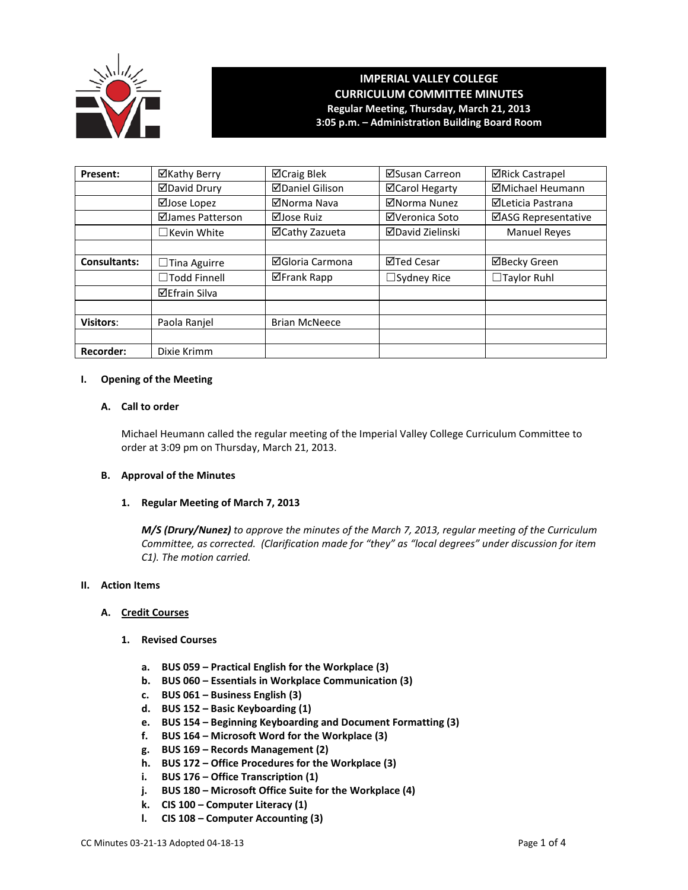

# **IMPERIAL VALLEY COLLEGE CURRICULUM COMMITTEE MINUTES Regular Meeting, Thursday, March 21, 2013 3:05 p.m. – Administration Building Board Room**

| Present:            | ⊠Kathy Berry         | ⊠Craig Blek            | ⊠Susan Carreon          | <b>⊠Rick Castrapel</b>   |
|---------------------|----------------------|------------------------|-------------------------|--------------------------|
|                     | <b>ØDavid Drury</b>  | <b>ØDaniel Gilison</b> | ⊠Carol Hegarty          | ⊠Michael Heumann         |
|                     | ⊠Jose Lopez          | ⊠Norma Nava            | ⊠Norma Nunez            | <b>ØLeticia Pastrana</b> |
|                     | ⊠James Patterson     | ⊠Jose Ruiz             | ⊠Veronica Soto          | ⊠ASG Representative      |
|                     | $\Box$ Kevin White   | ⊠Cathy Zazueta         | <b>⊠David Zielinski</b> | <b>Manuel Reyes</b>      |
|                     |                      |                        |                         |                          |
| <b>Consultants:</b> | $\Box$ Tina Aguirre  | ⊠Gloria Carmona        | <b>⊠Ted Cesar</b>       | <b>⊠Becky Green</b>      |
|                     | $\Box$ Todd Finnell  | ⊠Frank Rapp            | $\Box$ Sydney Rice      | $\Box$ Taylor Ruhl       |
|                     | <b>⊠Efrain Silva</b> |                        |                         |                          |
|                     |                      |                        |                         |                          |
| <b>Visitors:</b>    | Paola Ranjel         | <b>Brian McNeece</b>   |                         |                          |
|                     |                      |                        |                         |                          |
| <b>Recorder:</b>    | Dixie Krimm          |                        |                         |                          |

#### **I. Opening of the Meeting**

### **A. Call to order**

Michael Heumann called the regular meeting of the Imperial Valley College Curriculum Committee to order at 3:09 pm on Thursday, March 21, 2013.

## **B. Approval of the Minutes**

#### **1. Regular Meeting of March 7, 2013**

*M/S (Drury/Nunez) to approve the minutes of the March 7, 2013, regular meeting of the Curriculum Committee, as corrected. (Clarification made for "they" as "local degrees" under discussion for item C1). The motion carried.* 

#### **II. Action Items**

#### **A. Credit Courses**

- **1. Revised Courses**
	- **a. BUS 059 – Practical English for the Workplace (3)**
	- **b. BUS 060 – Essentials in Workplace Communication (3)**
	- **c. BUS 061 – Business English (3)**
	- **d. BUS 152 – Basic Keyboarding (1)**
	- **e. BUS 154 – Beginning Keyboarding and Document Formatting (3)**
	- **f. BUS 164 – Microsoft Word for the Workplace (3)**
	- **g. BUS 169 – Records Management (2)**
	- **h. BUS 172 – Office Procedures for the Workplace (3)**
	- **i. BUS 176 – Office Transcription (1)**
	- **j. BUS 180 – Microsoft Office Suite for the Workplace (4)**
	- **k. CIS 100 – Computer Literacy (1)**
	- **l. CIS 108 – Computer Accounting (3)**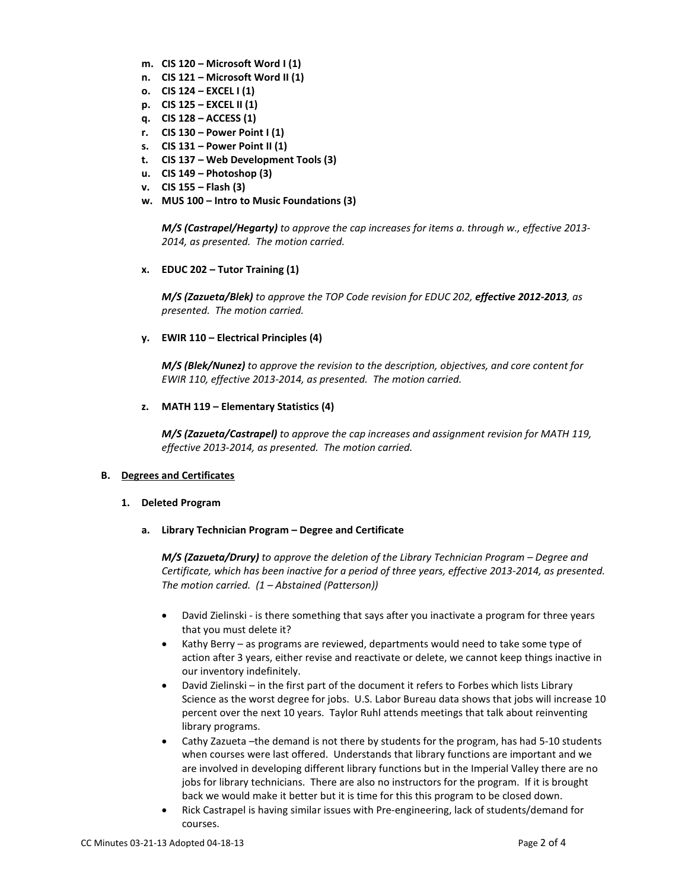- **m. CIS 120 – Microsoft Word I (1)**
- **n. CIS 121 – Microsoft Word II (1)**
- **o. CIS 124 – EXCEL I (1)**
- **p. CIS 125 – EXCEL II (1)**
- **q. CIS 128 – ACCESS (1)**
- **r. CIS 130 – Power Point I (1)**
- **s. CIS 131 – Power Point II (1)**
- **t. CIS 137 – Web Development Tools (3)**
- **u. CIS 149 – Photoshop (3)**
- **v. CIS 155 – Flash (3)**
- **w. MUS 100 – Intro to Music Foundations (3)**

*M/S (Castrapel/Hegarty) to approve the cap increases for items a. through w., effective 2013- 2014, as presented. The motion carried.*

**x. EDUC 202 – Tutor Training (1)**

*M/S (Zazueta/Blek) to approve the TOP Code revision for EDUC 202, effective 2012-2013, as presented. The motion carried.*

**y. EWIR 110 – Electrical Principles (4)**

*M/S (Blek/Nunez) to approve the revision to the description, objectives, and core content for EWIR 110, effective 2013-2014, as presented. The motion carried.*

**z. MATH 119 – Elementary Statistics (4)**

*M/S (Zazueta/Castrapel) to approve the cap increases and assignment revision for MATH 119, effective 2013-2014, as presented. The motion carried.*

# **B. Degrees and Certificates**

#### **1. Deleted Program**

**a. Library Technician Program – Degree and Certificate**

*M/S (Zazueta/Drury) to approve the deletion of the Library Technician Program – Degree and Certificate, which has been inactive for a period of three years, effective 2013-2014, as presented. The motion carried. (1 – Abstained (Patterson))*

- David Zielinski is there something that says after you inactivate a program for three years that you must delete it?
- Kathy Berry as programs are reviewed, departments would need to take some type of action after 3 years, either revise and reactivate or delete, we cannot keep things inactive in our inventory indefinitely.
- David Zielinski in the first part of the document it refers to Forbes which lists Library Science as the worst degree for jobs. U.S. Labor Bureau data shows that jobs will increase 10 percent over the next 10 years. Taylor Ruhl attends meetings that talk about reinventing library programs.
- Cathy Zazueta –the demand is not there by students for the program, has had 5-10 students when courses were last offered. Understands that library functions are important and we are involved in developing different library functions but in the Imperial Valley there are no jobs for library technicians. There are also no instructors for the program. If it is brought back we would make it better but it is time for this this program to be closed down.
- Rick Castrapel is having similar issues with Pre-engineering, lack of students/demand for courses.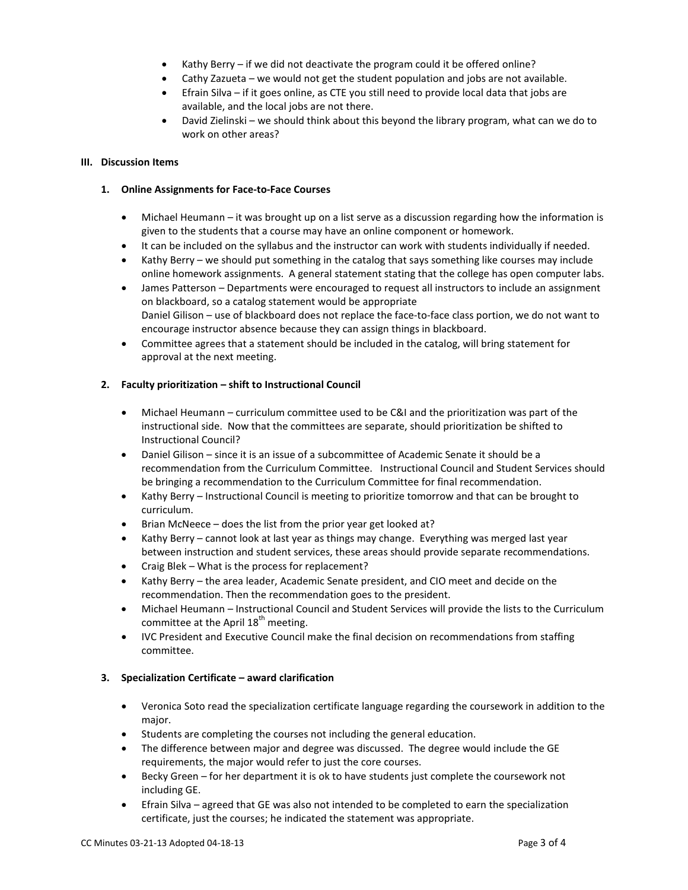- Kathy Berry if we did not deactivate the program could it be offered online?
- Cathy Zazueta we would not get the student population and jobs are not available.
- Efrain Silva if it goes online, as CTE you still need to provide local data that jobs are available, and the local jobs are not there.
- David Zielinski we should think about this beyond the library program, what can we do to work on other areas?

### **III. Discussion Items**

### **1. Online Assignments for Face-to-Face Courses**

- Michael Heumann it was brought up on a list serve as a discussion regarding how the information is given to the students that a course may have an online component or homework.
- It can be included on the syllabus and the instructor can work with students individually if needed.
- Kathy Berry we should put something in the catalog that says something like courses may include online homework assignments. A general statement stating that the college has open computer labs.
- James Patterson Departments were encouraged to request all instructors to include an assignment on blackboard, so a catalog statement would be appropriate Daniel Gilison – use of blackboard does not replace the face-to-face class portion, we do not want to encourage instructor absence because they can assign things in blackboard.
- Committee agrees that a statement should be included in the catalog, will bring statement for approval at the next meeting.

### **2. Faculty prioritization – shift to Instructional Council**

- Michael Heumann curriculum committee used to be C&I and the prioritization was part of the instructional side. Now that the committees are separate, should prioritization be shifted to Instructional Council?
- Daniel Gilison since it is an issue of a subcommittee of Academic Senate it should be a recommendation from the Curriculum Committee. Instructional Council and Student Services should be bringing a recommendation to the Curriculum Committee for final recommendation.
- Kathy Berry Instructional Council is meeting to prioritize tomorrow and that can be brought to curriculum.
- Brian McNeece does the list from the prior year get looked at?
- Kathy Berry cannot look at last year as things may change. Everything was merged last year between instruction and student services, these areas should provide separate recommendations.
- Craig Blek What is the process for replacement?
- Kathy Berry the area leader, Academic Senate president, and CIO meet and decide on the recommendation. Then the recommendation goes to the president.
- Michael Heumann Instructional Council and Student Services will provide the lists to the Curriculum committee at the April  $18<sup>th</sup>$  meeting.
- IVC President and Executive Council make the final decision on recommendations from staffing committee.

# **3. Specialization Certificate – award clarification**

- Veronica Soto read the specialization certificate language regarding the coursework in addition to the major.
- Students are completing the courses not including the general education.
- The difference between major and degree was discussed. The degree would include the GE requirements, the major would refer to just the core courses.
- Becky Green for her department it is ok to have students just complete the coursework not including GE.
- Efrain Silva agreed that GE was also not intended to be completed to earn the specialization certificate, just the courses; he indicated the statement was appropriate.